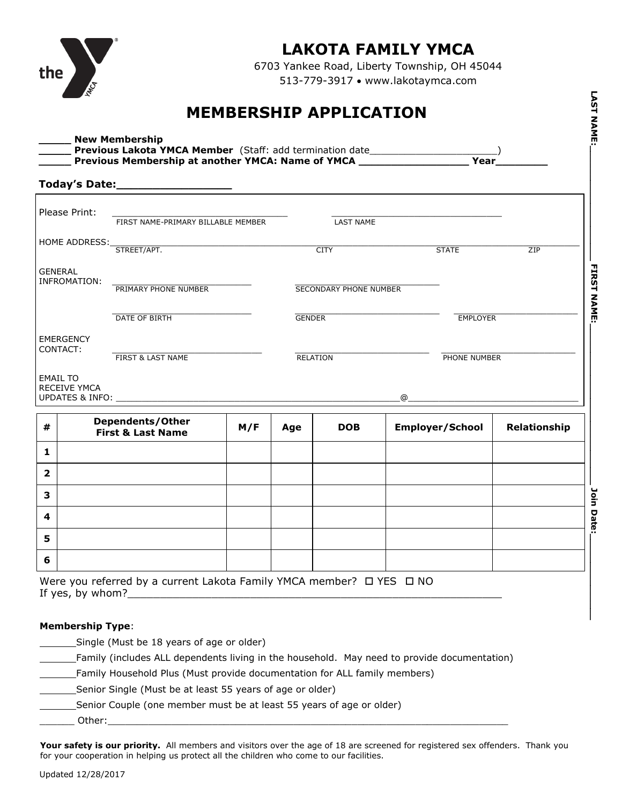

## **LAKOTA FAMILY YMCA**

6703 Yankee Road, Liberty Township, OH 45044 513-779-3917 www.lakotaymca.com

## **MEMBERSHIP APPLICATION**

|                                | Today's Date:____________________                |     | <u> 1990 - Andrea Station Books, amerikansk politik (</u> |                               |   |                        |              |
|--------------------------------|--------------------------------------------------|-----|-----------------------------------------------------------|-------------------------------|---|------------------------|--------------|
| Please Print:                  | FIRST NAME-PRIMARY BILLABLE MEMBER               |     |                                                           | <b>LAST NAME</b>              |   |                        |              |
| HOME ADDRESS:                  | STREET/APT.                                      |     |                                                           | <b>CITY</b>                   |   | <b>STATE</b>           | ZIP          |
| <b>GENERAL</b><br>INFROMATION: |                                                  |     |                                                           |                               |   |                        |              |
|                                | PRIMARY PHONE NUMBER                             |     |                                                           | <b>SECONDARY PHONE NUMBER</b> |   |                        |              |
|                                | DATE OF BIRTH                                    |     | <b>GENDER</b>                                             |                               |   | <b>EMPLOYER</b>        |              |
| <b>EMERGENCY</b><br>CONTACT:   |                                                  |     |                                                           |                               |   |                        |              |
| <b>EMAIL TO</b>                | FIRST & LAST NAME                                |     | RELATION                                                  |                               |   | PHONE NUMBER           |              |
| <b>RECEIVE YMCA</b>            | UPDATES & INFO: _____________                    |     |                                                           |                               | @ |                        |              |
| #                              | Dependents/Other<br><b>First &amp; Last Name</b> | M/F | Age                                                       | <b>DOB</b>                    |   | <b>Employer/School</b> | Relationship |
| 1                              |                                                  |     |                                                           |                               |   |                        |              |
| $\overline{2}$                 |                                                  |     |                                                           |                               |   |                        |              |
| 3                              |                                                  |     |                                                           |                               |   |                        |              |
| 4                              |                                                  |     |                                                           |                               |   |                        |              |
| 5                              |                                                  |     |                                                           |                               |   |                        |              |

| 3 |                                                                                           |  |  |  |
|---|-------------------------------------------------------------------------------------------|--|--|--|
|   |                                                                                           |  |  |  |
| 5 |                                                                                           |  |  |  |
| 6 |                                                                                           |  |  |  |
|   | Were you referred by a current Lakota Family YMCA member? □ YES □ NO<br>If yes, by whom?_ |  |  |  |

## **Membership Type**:

| Single (Must be 18 years of age or older)                                                   |
|---------------------------------------------------------------------------------------------|
| Family (includes ALL dependents living in the household. May need to provide documentation) |
| Family Household Plus (Must provide documentation for ALL family members)                   |
| Senior Single (Must be at least 55 years of age or older)                                   |
| Senior Couple (one member must be at least 55 years of age or older)                        |
| Other:                                                                                      |

Your safety is our priority. All members and visitors over the age of 18 are screened for registered sex offenders. Thank you for your cooperation in helping us protect all the children who come to our facilities.